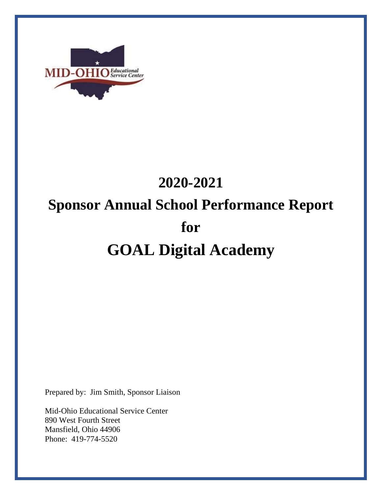

# **2020-2021 Sponsor Annual School Performance Report for GOAL Digital Academy**

Prepared by: Jim Smith, Sponsor Liaison

Mid-Ohio Educational Service Center 890 West Fourth Street Mansfield, Ohio 44906 Phone: 419-774-5520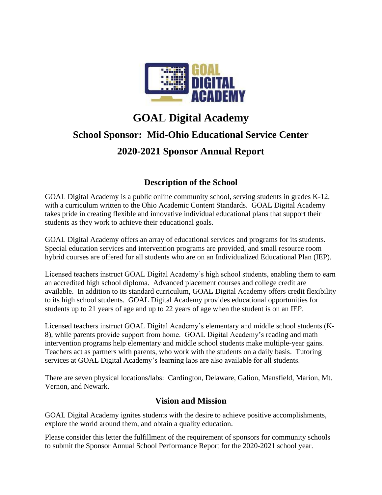

## **GOAL Digital Academy School Sponsor: Mid-Ohio Educational Service Center 2020-2021 Sponsor Annual Report**

### **Description of the School**

GOAL Digital Academy is a public online community school, serving students in grades K-12, with a curriculum written to the Ohio Academic Content Standards. GOAL Digital Academy takes pride in creating flexible and innovative individual educational plans that support their students as they work to achieve their educational goals.

GOAL Digital Academy offers an array of educational services and programs for its students. Special education services and intervention programs are provided, and small resource room hybrid courses are offered for all students who are on an Individualized Educational Plan (IEP).

Licensed teachers instruct GOAL Digital Academy's high school students, enabling them to earn an accredited high school diploma. Advanced placement courses and college credit are available. In addition to its standard curriculum, GOAL Digital Academy offers credit flexibility to its high school students. GOAL Digital Academy provides educational opportunities for students up to 21 years of age and up to 22 years of age when the student is on an IEP.

Licensed teachers instruct GOAL Digital Academy's elementary and middle school students (K-8), while parents provide support from home. GOAL Digital Academy's reading and math intervention programs help elementary and middle school students make multiple-year gains. Teachers act as partners with parents, who work with the students on a daily basis. Tutoring services at GOAL Digital Academy's learning labs are also available for all students.

There are seven physical locations/labs: Cardington, Delaware, Galion, Mansfield, Marion, Mt. Vernon, and Newark.

#### **Vision and Mission**

GOAL Digital Academy ignites students with the desire to achieve positive accomplishments, explore the world around them, and obtain a quality education.

Please consider this letter the fulfillment of the requirement of sponsors for community schools to submit the Sponsor Annual School Performance Report for the 2020-2021 school year.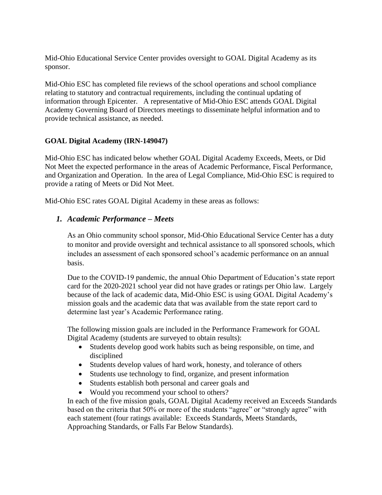Mid-Ohio Educational Service Center provides oversight to GOAL Digital Academy as its sponsor.

Mid-Ohio ESC has completed file reviews of the school operations and school compliance relating to statutory and contractual requirements, including the continual updating of information through Epicenter. A representative of Mid-Ohio ESC attends GOAL Digital Academy Governing Board of Directors meetings to disseminate helpful information and to provide technical assistance, as needed.

#### **GOAL Digital Academy (IRN-149047)**

Mid-Ohio ESC has indicated below whether GOAL Digital Academy Exceeds, Meets, or Did Not Meet the expected performance in the areas of Academic Performance, Fiscal Performance, and Organization and Operation. In the area of Legal Compliance, Mid-Ohio ESC is required to provide a rating of Meets or Did Not Meet.

Mid-Ohio ESC rates GOAL Digital Academy in these areas as follows:

#### *1. Academic Performance – Meets*

As an Ohio community school sponsor, Mid-Ohio Educational Service Center has a duty to monitor and provide oversight and technical assistance to all sponsored schools, which includes an assessment of each sponsored school's academic performance on an annual basis.

Due to the COVID-19 pandemic, the annual Ohio Department of Education's state report card for the 2020-2021 school year did not have grades or ratings per Ohio law. Largely because of the lack of academic data, Mid-Ohio ESC is using GOAL Digital Academy's mission goals and the academic data that was available from the state report card to determine last year's Academic Performance rating.

The following mission goals are included in the Performance Framework for GOAL Digital Academy (students are surveyed to obtain results):

- Students develop good work habits such as being responsible, on time, and disciplined
- Students develop values of hard work, honesty, and tolerance of others
- Students use technology to find, organize, and present information
- Students establish both personal and career goals and
- Would you recommend your school to others?

In each of the five mission goals, GOAL Digital Academy received an Exceeds Standards based on the criteria that 50% or more of the students "agree" or "strongly agree" with each statement (four ratings available: Exceeds Standards, Meets Standards, Approaching Standards, or Falls Far Below Standards).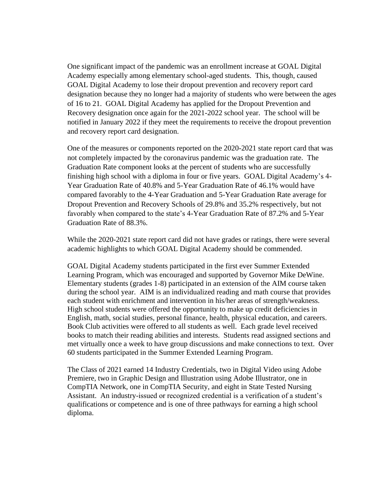One significant impact of the pandemic was an enrollment increase at GOAL Digital Academy especially among elementary school-aged students. This, though, caused GOAL Digital Academy to lose their dropout prevention and recovery report card designation because they no longer had a majority of students who were between the ages of 16 to 21. GOAL Digital Academy has applied for the Dropout Prevention and Recovery designation once again for the 2021-2022 school year. The school will be notified in January 2022 if they meet the requirements to receive the dropout prevention and recovery report card designation.

One of the measures or components reported on the 2020-2021 state report card that was not completely impacted by the coronavirus pandemic was the graduation rate. The Graduation Rate component looks at the percent of students who are successfully finishing high school with a diploma in four or five years. GOAL Digital Academy's 4- Year Graduation Rate of 40.8% and 5-Year Graduation Rate of 46.1% would have compared favorably to the 4-Year Graduation and 5-Year Graduation Rate average for Dropout Prevention and Recovery Schools of 29.8% and 35.2% respectively, but not favorably when compared to the state's 4-Year Graduation Rate of 87.2% and 5-Year Graduation Rate of 88.3%.

While the 2020-2021 state report card did not have grades or ratings, there were several academic highlights to which GOAL Digital Academy should be commended.

GOAL Digital Academy students participated in the first ever Summer Extended Learning Program, which was encouraged and supported by Governor Mike DeWine. Elementary students (grades 1-8) participated in an extension of the AIM course taken during the school year. AIM is an individualized reading and math course that provides each student with enrichment and intervention in his/her areas of strength/weakness. High school students were offered the opportunity to make up credit deficiencies in English, math, social studies, personal finance, health, physical education, and careers. Book Club activities were offered to all students as well. Each grade level received books to match their reading abilities and interests. Students read assigned sections and met virtually once a week to have group discussions and make connections to text. Over 60 students participated in the Summer Extended Learning Program.

The Class of 2021 earned 14 Industry Credentials, two in Digital Video using Adobe Premiere, two in Graphic Design and Illustration using Adobe Illustrator, one in CompTIA Network, one in CompTIA Security, and eight in State Tested Nursing Assistant. An industry-issued or recognized credential is a verification of a student's qualifications or competence and is one of three pathways for earning a high school diploma.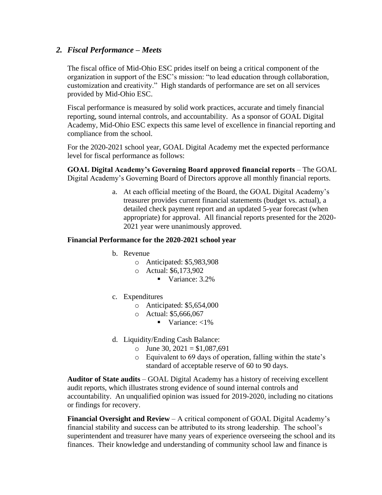#### *2. Fiscal Performance – Meets*

The fiscal office of Mid-Ohio ESC prides itself on being a critical component of the organization in support of the ESC's mission: "to lead education through collaboration, customization and creativity." High standards of performance are set on all services provided by Mid-Ohio ESC.

Fiscal performance is measured by solid work practices, accurate and timely financial reporting, sound internal controls, and accountability. As a sponsor of GOAL Digital Academy, Mid-Ohio ESC expects this same level of excellence in financial reporting and compliance from the school.

For the 2020-2021 school year, GOAL Digital Academy met the expected performance level for fiscal performance as follows:

**GOAL Digital Academy's Governing Board approved financial reports** – The GOAL Digital Academy's Governing Board of Directors approve all monthly financial reports.

> a. At each official meeting of the Board, the GOAL Digital Academy's treasurer provides current financial statements (budget vs. actual), a detailed check payment report and an updated 5-year forecast (when appropriate) for approval. All financial reports presented for the 2020- 2021 year were unanimously approved.

#### **Financial Performance for the 2020-2021 school year**

- b. Revenue
	- o Anticipated: \$5,983,908
	- o Actual: \$6,173,902
		- Variance: 3.2%
- c. Expenditures
	- o Anticipated: \$5,654,000
	- o Actual: \$5,666,067
		- Variance:  $<1\%$
- d. Liquidity/Ending Cash Balance:
	- $\circ$  June 30, 2021 = \$1,087,691
	- o Equivalent to 69 days of operation, falling within the state's standard of acceptable reserve of 60 to 90 days.

**Auditor of State audits** – GOAL Digital Academy has a history of receiving excellent audit reports, which illustrates strong evidence of sound internal controls and accountability. An unqualified opinion was issued for 2019-2020, including no citations or findings for recovery.

**Financial Oversight and Review** – A critical component of GOAL Digital Academy's financial stability and success can be attributed to its strong leadership. The school's superintendent and treasurer have many years of experience overseeing the school and its finances. Their knowledge and understanding of community school law and finance is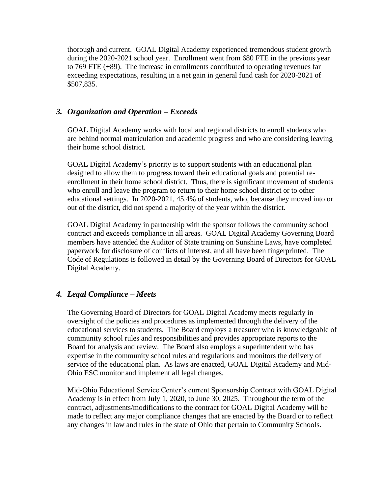thorough and current. GOAL Digital Academy experienced tremendous student growth during the 2020-2021 school year. Enrollment went from 680 FTE in the previous year to 769 FTE (+89). The increase in enrollments contributed to operating revenues far exceeding expectations, resulting in a net gain in general fund cash for 2020-2021 of \$507,835.

#### *3. Organization and Operation – Exceeds*

GOAL Digital Academy works with local and regional districts to enroll students who are behind normal matriculation and academic progress and who are considering leaving their home school district.

GOAL Digital Academy's priority is to support students with an educational plan designed to allow them to progress toward their educational goals and potential reenrollment in their home school district. Thus, there is significant movement of students who enroll and leave the program to return to their home school district or to other educational settings. In 2020-2021, 45.4% of students, who, because they moved into or out of the district, did not spend a majority of the year within the district.

GOAL Digital Academy in partnership with the sponsor follows the community school contract and exceeds compliance in all areas. GOAL Digital Academy Governing Board members have attended the Auditor of State training on Sunshine Laws, have completed paperwork for disclosure of conflicts of interest, and all have been fingerprinted. The Code of Regulations is followed in detail by the Governing Board of Directors for GOAL Digital Academy.

#### *4. Legal Compliance – Meets*

The Governing Board of Directors for GOAL Digital Academy meets regularly in oversight of the policies and procedures as implemented through the delivery of the educational services to students. The Board employs a treasurer who is knowledgeable of community school rules and responsibilities and provides appropriate reports to the Board for analysis and review. The Board also employs a superintendent who has expertise in the community school rules and regulations and monitors the delivery of service of the educational plan. As laws are enacted, GOAL Digital Academy and Mid-Ohio ESC monitor and implement all legal changes.

Mid-Ohio Educational Service Center's current Sponsorship Contract with GOAL Digital Academy is in effect from July 1, 2020, to June 30, 2025. Throughout the term of the contract, adjustments/modifications to the contract for GOAL Digital Academy will be made to reflect any major compliance changes that are enacted by the Board or to reflect any changes in law and rules in the state of Ohio that pertain to Community Schools.